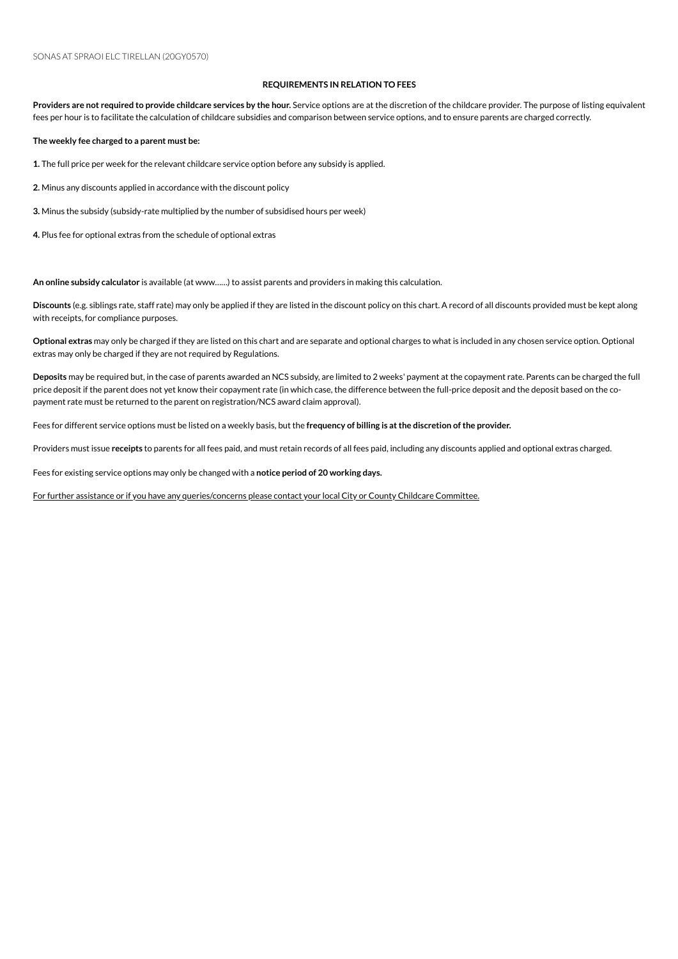## **REQUIREMENTS IN RELATION TO FEES**

Providers are not required to provide childcare services by the hour. Service options are at the discretion of the childcare provider. The purpose of listing equivalent fees per hour is to facilitate the calculation of childcare subsidies and comparison between service options, and to ensure parents are charged correctly.

**The weekly fee charged to a parent must be:**

1. The full price per week for the relevant childcare service option before any subsidy is applied.

2. Minus any discounts applied in accordance with the discount policy

**3.** Minus the subsidy (subsidy-rate multiplied by the number of subsidised hours per week)

4. Plus fee for optional extras from the schedule of optional extras

An online subsidy calculator is available (at www......) to assist parents and providers in making this calculation.

**Discounts** (e.g. siblings rate, staff rate) mayonly be applied if they are listed inthe discount policyonthis chart. A record of all discounts provided must be kept along with receipts, for compliance purposes.

**Optional extras** mayonly be charged if they are listed onthis chart and are separate and optional charges to what is included inany chosenserviceoption. Optional extras may only be charged if they are not required by Regulations.

Deposits may be required but, in the case of parents awarded an NCS subsidy, are limited to 2 weeks' payment at the copayment rate. Parents can be charged the full price deposit if the parent does not yet know their copayment rate (in which case, the difference between the full-price deposit and the deposit based on the copayment rate must be returned to the parent on registration/NCS award claim approval).

Fees for different serviceoptions must be listed ona weekly basis, but the **frequency of billing is atthe discretion ofthe provider.**

Providers must issue receipts to parents for all fees paid, and must retain records of all fees paid, including any discounts applied and optional extras charged.

Fees for existing service options may only be changed with a notice period of 20 working days.

For further assistance or if you have any queries/concerns please contact your local City or County Childcare Committee.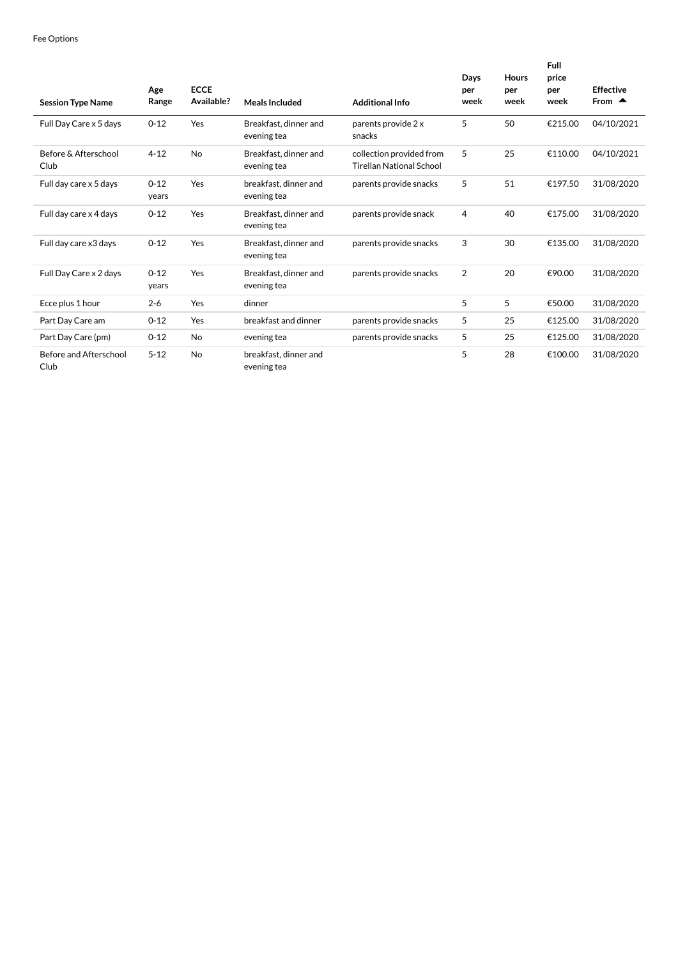| <b>Session Type Name</b>       | Age<br>Range      | <b>ECCE</b><br>Available? | <b>Meals Included</b>                | <b>Additional Info</b>                                      | Days<br>per<br>week | <b>Hours</b><br>per<br>week | Full<br>price<br>per<br>week | <b>Effective</b><br>From $\triangle$ |
|--------------------------------|-------------------|---------------------------|--------------------------------------|-------------------------------------------------------------|---------------------|-----------------------------|------------------------------|--------------------------------------|
| Full Day Care x 5 days         | $0 - 12$          | Yes                       | Breakfast, dinner and<br>evening tea | parents provide 2 x<br>snacks                               | 5                   | 50                          | €215.00                      | 04/10/2021                           |
| Before & Afterschool<br>Club   | $4 - 12$          | No                        | Breakfast, dinner and<br>evening tea | collection provided from<br><b>Tirellan National School</b> | 5                   | 25                          | €110.00                      | 04/10/2021                           |
| Full day care x 5 days         | $0 - 12$<br>years | Yes                       | breakfast, dinner and<br>evening tea | parents provide snacks                                      | 5                   | 51                          | €197.50                      | 31/08/2020                           |
| Full day care x 4 days         | $0 - 12$          | Yes                       | Breakfast, dinner and<br>evening tea | parents provide snack                                       | 4                   | 40                          | €175.00                      | 31/08/2020                           |
| Full day care x3 days          | $0 - 12$          | Yes                       | Breakfast, dinner and<br>evening tea | parents provide snacks                                      | 3                   | 30                          | €135.00                      | 31/08/2020                           |
| Full Day Care x 2 days         | $0 - 12$<br>years | Yes                       | Breakfast, dinner and<br>evening tea | parents provide snacks                                      | $\overline{2}$      | 20                          | €90.00                       | 31/08/2020                           |
| Ecce plus 1 hour               | $2 - 6$           | Yes                       | dinner                               |                                                             | 5                   | 5                           | €50.00                       | 31/08/2020                           |
| Part Day Care am               | $0 - 12$          | Yes                       | breakfast and dinner                 | parents provide snacks                                      | 5                   | 25                          | €125.00                      | 31/08/2020                           |
| Part Day Care (pm)             | $0 - 12$          | No                        | evening tea                          | parents provide snacks                                      | 5                   | 25                          | €125.00                      | 31/08/2020                           |
| Before and Afterschool<br>Club | $5 - 12$          | <b>No</b>                 | breakfast, dinner and<br>evening tea |                                                             | 5                   | 28                          | €100.00                      | 31/08/2020                           |